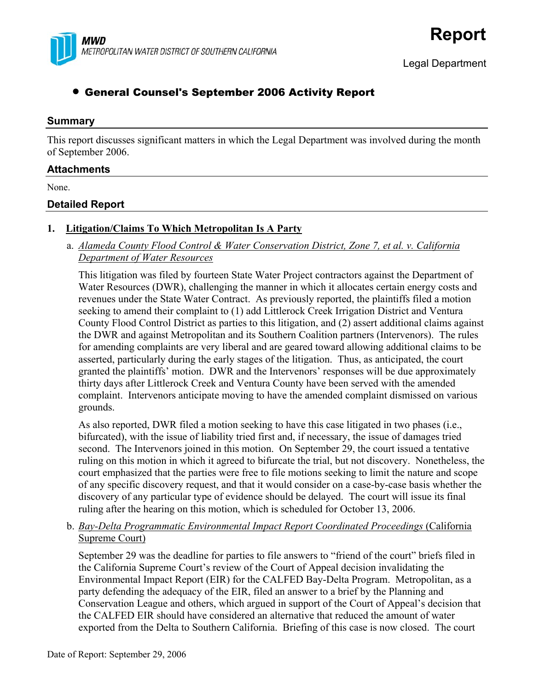

# • General Counsel's September 2006 Activity Report

#### **Summary**

This report discusses significant matters in which the Legal Department was involved during the month of September 2006.

#### **Attachments**

None.

### **Detailed Report**

# **1. Litigation/Claims To Which Metropolitan Is A Party**

 a. *Alameda County Flood Control & Water Conservation District, Zone 7, et al. v. California Department of Water Resources*

This litigation was filed by fourteen State Water Project contractors against the Department of Water Resources (DWR), challenging the manner in which it allocates certain energy costs and revenues under the State Water Contract. As previously reported, the plaintiffs filed a motion seeking to amend their complaint to (1) add Littlerock Creek Irrigation District and Ventura County Flood Control District as parties to this litigation, and (2) assert additional claims against the DWR and against Metropolitan and its Southern Coalition partners (Intervenors). The rules for amending complaints are very liberal and are geared toward allowing additional claims to be asserted, particularly during the early stages of the litigation. Thus, as anticipated, the court granted the plaintiffs' motion. DWR and the Intervenors' responses will be due approximately thirty days after Littlerock Creek and Ventura County have been served with the amended complaint. Intervenors anticipate moving to have the amended complaint dismissed on various grounds.

As also reported, DWR filed a motion seeking to have this case litigated in two phases (i.e., bifurcated), with the issue of liability tried first and, if necessary, the issue of damages tried second. The Intervenors joined in this motion. On September 29, the court issued a tentative ruling on this motion in which it agreed to bifurcate the trial, but not discovery. Nonetheless, the court emphasized that the parties were free to file motions seeking to limit the nature and scope of any specific discovery request, and that it would consider on a case-by-case basis whether the discovery of any particular type of evidence should be delayed. The court will issue its final ruling after the hearing on this motion, which is scheduled for October 13, 2006.

b. *Bay-Delta Programmatic Environmental Impact Report Coordinated Proceedings* (California Supreme Court)

September 29 was the deadline for parties to file answers to "friend of the court" briefs filed in the California Supreme Court's review of the Court of Appeal decision invalidating the Environmental Impact Report (EIR) for the CALFED Bay-Delta Program. Metropolitan, as a party defending the adequacy of the EIR, filed an answer to a brief by the Planning and Conservation League and others, which argued in support of the Court of Appeal's decision that the CALFED EIR should have considered an alternative that reduced the amount of water exported from the Delta to Southern California. Briefing of this case is now closed. The court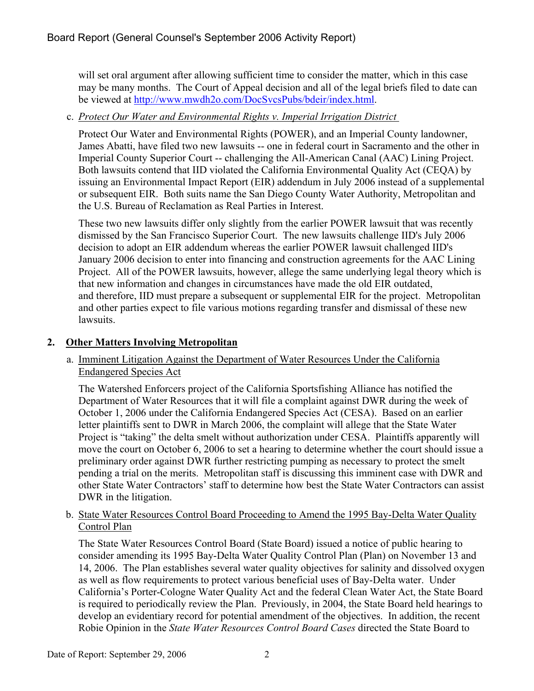will set oral argument after allowing sufficient time to consider the matter, which in this case may be many months. The Court of Appeal decision and all of the legal briefs filed to date can be viewed at <http://www.mwdh2o.com/DocSvcsPubs/bdeir/index.html>.

# c. *Protect Our Water and Environmental Rights v. Imperial Irrigation District*

Protect Our Water and Environmental Rights (POWER), and an Imperial County landowner, James Abatti, have filed two new lawsuits -- one in federal court in Sacramento and the other in Imperial County Superior Court -- challenging the All-American Canal (AAC) Lining Project. Both lawsuits contend that IID violated the California Environmental Quality Act (CEQA) by issuing an Environmental Impact Report (EIR) addendum in July 2006 instead of a supplemental or subsequent EIR. Both suits name the San Diego County Water Authority, Metropolitan and the U.S. Bureau of Reclamation as Real Parties in Interest.

These two new lawsuits differ only slightly from the earlier POWER lawsuit that was recently dismissed by the San Francisco Superior Court. The new lawsuits challenge IID's July 2006 decision to adopt an EIR addendum whereas the earlier POWER lawsuit challenged IID's January 2006 decision to enter into financing and construction agreements for the AAC Lining Project. All of the POWER lawsuits, however, allege the same underlying legal theory which is that new information and changes in circumstances have made the old EIR outdated, and therefore, IID must prepare a subsequent or supplemental EIR for the project. Metropolitan and other parties expect to file various motions regarding transfer and dismissal of these new lawsuits.

# **2. Other Matters Involving Metropolitan**

#### a. Imminent Litigation Against the Department of Water Resources Under the California Endangered Species Act

The Watershed Enforcers project of the California Sportsfishing Alliance has notified the Department of Water Resources that it will file a complaint against DWR during the week of October 1, 2006 under the California Endangered Species Act (CESA). Based on an earlier letter plaintiffs sent to DWR in March 2006, the complaint will allege that the State Water Project is "taking" the delta smelt without authorization under CESA. Plaintiffs apparently will move the court on October 6, 2006 to set a hearing to determine whether the court should issue a preliminary order against DWR further restricting pumping as necessary to protect the smelt pending a trial on the merits. Metropolitan staff is discussing this imminent case with DWR and other State Water Contractors' staff to determine how best the State Water Contractors can assist DWR in the litigation.

### b. State Water Resources Control Board Proceeding to Amend the 1995 Bay-Delta Water Quality Control Plan

The State Water Resources Control Board (State Board) issued a notice of public hearing to consider amending its 1995 Bay-Delta Water Quality Control Plan (Plan) on November 13 and 14, 2006. The Plan establishes several water quality objectives for salinity and dissolved oxygen as well as flow requirements to protect various beneficial uses of Bay-Delta water. Under California's Porter-Cologne Water Quality Act and the federal Clean Water Act, the State Board is required to periodically review the Plan. Previously, in 2004, the State Board held hearings to develop an evidentiary record for potential amendment of the objectives. In addition, the recent Robie Opinion in the *State Water Resources Control Board Cases* directed the State Board to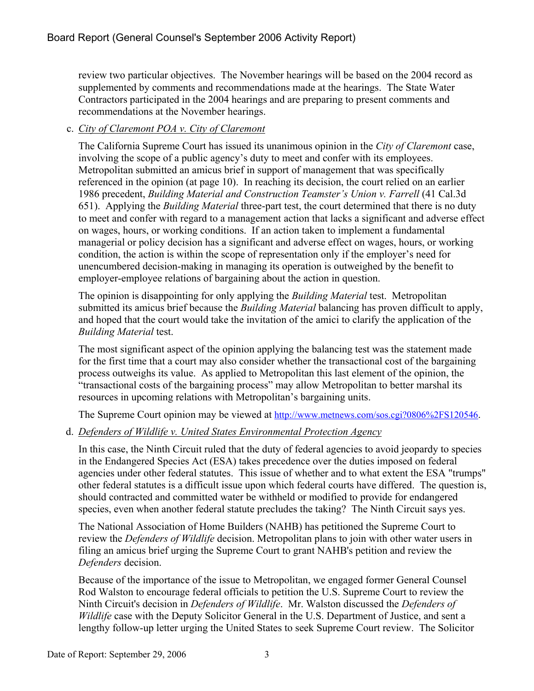review two particular objectives. The November hearings will be based on the 2004 record as supplemented by comments and recommendations made at the hearings. The State Water Contractors participated in the 2004 hearings and are preparing to present comments and recommendations at the November hearings.

# c. *City of Claremont POA v. City of Claremont*

The California Supreme Court has issued its unanimous opinion in the *City of Claremont* case, involving the scope of a public agency's duty to meet and confer with its employees. Metropolitan submitted an amicus brief in support of management that was specifically referenced in the opinion (at page 10). In reaching its decision, the court relied on an earlier 1986 precedent, *Building Material and Construction Teamster's Union v. Farrell* (41 Cal.3d 651). Applying the *Building Material* three-part test, the court determined that there is no duty to meet and confer with regard to a management action that lacks a significant and adverse effect on wages, hours, or working conditions. If an action taken to implement a fundamental managerial or policy decision has a significant and adverse effect on wages, hours, or working condition, the action is within the scope of representation only if the employer's need for unencumbered decision-making in managing its operation is outweighed by the benefit to employer-employee relations of bargaining about the action in question.

The opinion is disappointing for only applying the *Building Material* test. Metropolitan submitted its amicus brief because the *Building Material* balancing has proven difficult to apply, and hoped that the court would take the invitation of the amici to clarify the application of the *Building Material* test.

The most significant aspect of the opinion applying the balancing test was the statement made for the first time that a court may also consider whether the transactional cost of the bargaining process outweighs its value. As applied to Metropolitan this last element of the opinion, the "transactional costs of the bargaining process" may allow Metropolitan to better marshal its resources in upcoming relations with Metropolitan's bargaining units.

The Supreme Court opinion may be viewed at <http://www.metnews.com/sos.cgi?0806%2FS120546>.

# d. *Defenders of Wildlife v. United States Environmental Protection Agency*

In this case, the Ninth Circuit ruled that the duty of federal agencies to avoid jeopardy to species in the Endangered Species Act (ESA) takes precedence over the duties imposed on federal agencies under other federal statutes. This issue of whether and to what extent the ESA "trumps" other federal statutes is a difficult issue upon which federal courts have differed. The question is, should contracted and committed water be withheld or modified to provide for endangered species, even when another federal statute precludes the taking? The Ninth Circuit says yes.

The National Association of Home Builders (NAHB) has petitioned the Supreme Court to review the *Defenders of Wildlife* decision. Metropolitan plans to join with other water users in filing an amicus brief urging the Supreme Court to grant NAHB's petition and review the *Defenders* decision.

Because of the importance of the issue to Metropolitan, we engaged former General Counsel Rod Walston to encourage federal officials to petition the U.S. Supreme Court to review the Ninth Circuit's decision in *Defenders of Wildlife*. Mr. Walston discussed the *Defenders of Wildlife* case with the Deputy Solicitor General in the U.S. Department of Justice, and sent a lengthy follow-up letter urging the United States to seek Supreme Court review. The Solicitor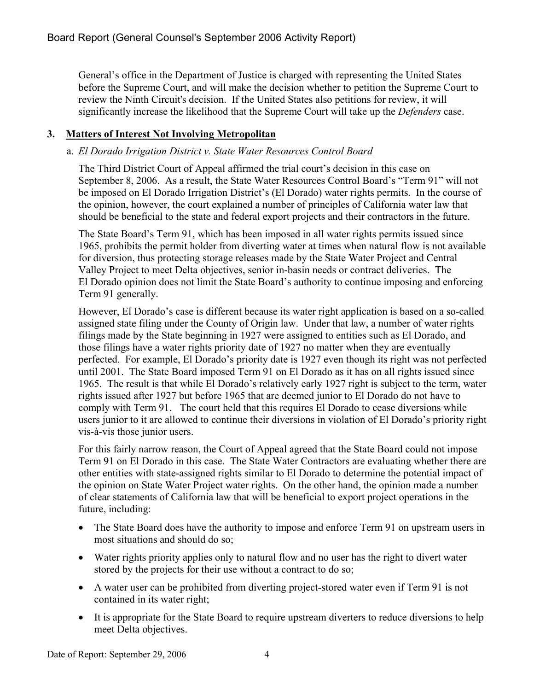General's office in the Department of Justice is charged with representing the United States before the Supreme Court, and will make the decision whether to petition the Supreme Court to review the Ninth Circuit's decision. If the United States also petitions for review, it will significantly increase the likelihood that the Supreme Court will take up the *Defenders* case.

# **3. Matters of Interest Not Involving Metropolitan**

# a. *El Dorado Irrigation District v. State Water Resources Control Board*

The Third District Court of Appeal affirmed the trial court's decision in this case on September 8, 2006. As a result, the State Water Resources Control Board's "Term 91" will not be imposed on El Dorado Irrigation District's (El Dorado) water rights permits. In the course of the opinion, however, the court explained a number of principles of California water law that should be beneficial to the state and federal export projects and their contractors in the future.

The State Board's Term 91, which has been imposed in all water rights permits issued since 1965, prohibits the permit holder from diverting water at times when natural flow is not available for diversion, thus protecting storage releases made by the State Water Project and Central Valley Project to meet Delta objectives, senior in-basin needs or contract deliveries. The El Dorado opinion does not limit the State Board's authority to continue imposing and enforcing Term 91 generally.

However, El Dorado's case is different because its water right application is based on a so-called assigned state filing under the County of Origin law. Under that law, a number of water rights filings made by the State beginning in 1927 were assigned to entities such as El Dorado, and those filings have a water rights priority date of 1927 no matter when they are eventually perfected. For example, El Dorado's priority date is 1927 even though its right was not perfected until 2001. The State Board imposed Term 91 on El Dorado as it has on all rights issued since 1965. The result is that while El Dorado's relatively early 1927 right is subject to the term, water rights issued after 1927 but before 1965 that are deemed junior to El Dorado do not have to comply with Term 91. The court held that this requires El Dorado to cease diversions while users junior to it are allowed to continue their diversions in violation of El Dorado's priority right vis-à-vis those junior users.

For this fairly narrow reason, the Court of Appeal agreed that the State Board could not impose Term 91 on El Dorado in this case. The State Water Contractors are evaluating whether there are other entities with state-assigned rights similar to El Dorado to determine the potential impact of the opinion on State Water Project water rights. On the other hand, the opinion made a number of clear statements of California law that will be beneficial to export project operations in the future, including:

- The State Board does have the authority to impose and enforce Term 91 on upstream users in most situations and should do so;
- Water rights priority applies only to natural flow and no user has the right to divert water stored by the projects for their use without a contract to do so;
- A water user can be prohibited from diverting project-stored water even if Term 91 is not contained in its water right;
- It is appropriate for the State Board to require upstream diverters to reduce diversions to help meet Delta objectives.